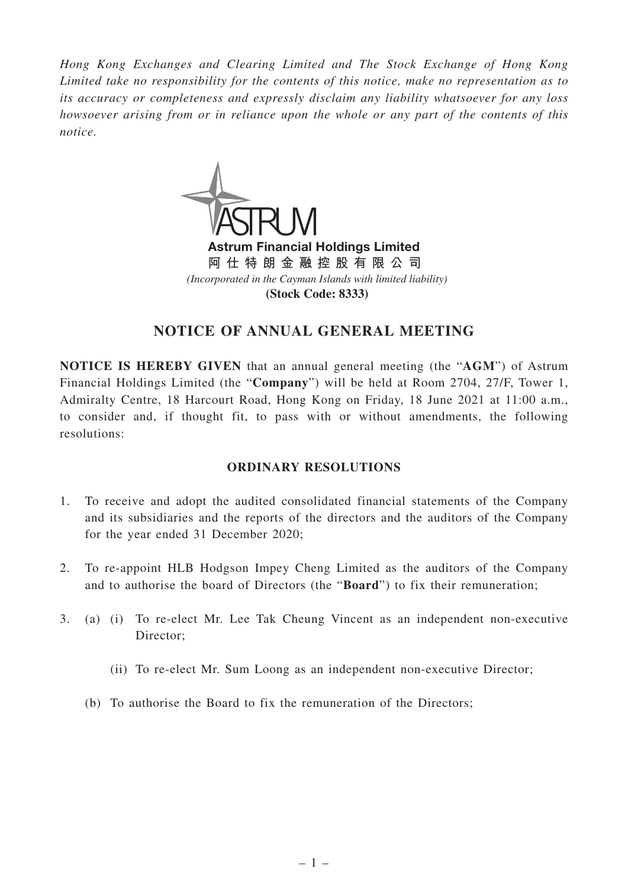*Hong Kong Exchanges and Clearing Limited and The Stock Exchange of Hong Kong Limited take no responsibility for the contents of this notice, make no representation as to its accuracy or completeness and expressly disclaim any liability whatsoever for any loss howsoever arising from or in reliance upon the whole or any part of the contents of this notice.*



Astrum Financial Holdings Limited **阿仕特朗金融控股有限公司** *(Incorporated in the Cayman Islands with limited liability)* **(Stock Code: 8333)**

# **NOTICE OF ANNUAL GENERAL MEETING**

**NOTICE IS HEREBY GIVEN** that an annual general meeting (the "**AGM**") of Astrum Financial Holdings Limited (the "**Company**") will be held at Room 2704, 27/F, Tower 1, Admiralty Centre, 18 Harcourt Road, Hong Kong on Friday, 18 June 2021 at 11:00 a.m., to consider and, if thought fit, to pass with or without amendments, the following resolutions:

## **ORDINARY RESOLUTIONS**

- 1. To receive and adopt the audited consolidated financial statements of the Company and its subsidiaries and the reports of the directors and the auditors of the Company for the year ended 31 December 2020;
- 2. To re-appoint HLB Hodgson Impey Cheng Limited as the auditors of the Company and to authorise the board of Directors (the "**Board**") to fix their remuneration;
- 3. (a) (i) To re-elect Mr. Lee Tak Cheung Vincent as an independent non-executive Director;
	- (ii) To re-elect Mr. Sum Loong as an independent non-executive Director;
	- (b) To authorise the Board to fix the remuneration of the Directors;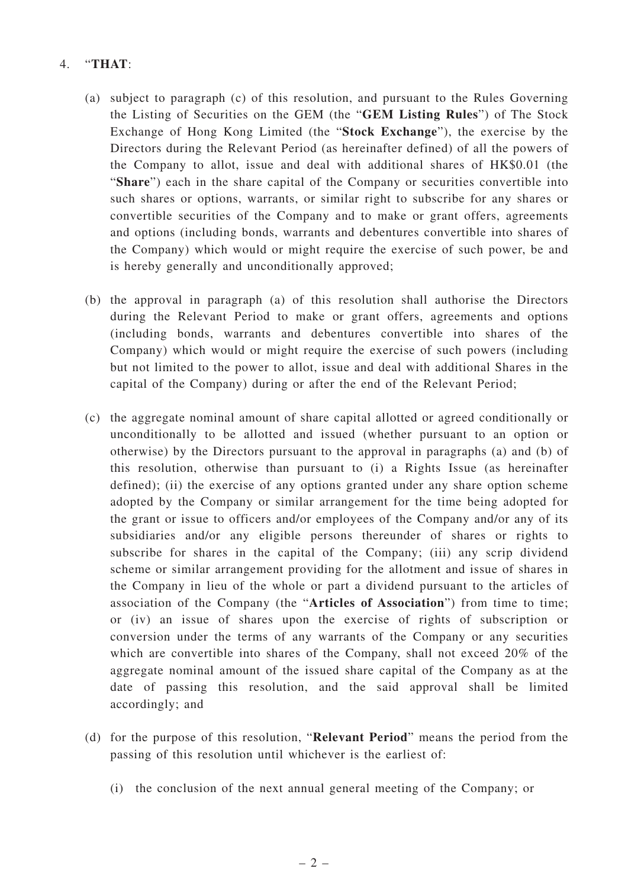### 4. "**THAT**:

- (a) subject to paragraph (c) of this resolution, and pursuant to the Rules Governing the Listing of Securities on the GEM (the "**GEM Listing Rules**") of The Stock Exchange of Hong Kong Limited (the "**Stock Exchange**"), the exercise by the Directors during the Relevant Period (as hereinafter defined) of all the powers of the Company to allot, issue and deal with additional shares of HK\$0.01 (the "**Share**") each in the share capital of the Company or securities convertible into such shares or options, warrants, or similar right to subscribe for any shares or convertible securities of the Company and to make or grant offers, agreements and options (including bonds, warrants and debentures convertible into shares of the Company) which would or might require the exercise of such power, be and is hereby generally and unconditionally approved;
- (b) the approval in paragraph (a) of this resolution shall authorise the Directors during the Relevant Period to make or grant offers, agreements and options (including bonds, warrants and debentures convertible into shares of the Company) which would or might require the exercise of such powers (including but not limited to the power to allot, issue and deal with additional Shares in the capital of the Company) during or after the end of the Relevant Period;
- (c) the aggregate nominal amount of share capital allotted or agreed conditionally or unconditionally to be allotted and issued (whether pursuant to an option or otherwise) by the Directors pursuant to the approval in paragraphs (a) and (b) of this resolution, otherwise than pursuant to (i) a Rights Issue (as hereinafter defined); (ii) the exercise of any options granted under any share option scheme adopted by the Company or similar arrangement for the time being adopted for the grant or issue to officers and/or employees of the Company and/or any of its subsidiaries and/or any eligible persons thereunder of shares or rights to subscribe for shares in the capital of the Company; (iii) any scrip dividend scheme or similar arrangement providing for the allotment and issue of shares in the Company in lieu of the whole or part a dividend pursuant to the articles of association of the Company (the "**Articles of Association**") from time to time; or (iv) an issue of shares upon the exercise of rights of subscription or conversion under the terms of any warrants of the Company or any securities which are convertible into shares of the Company, shall not exceed 20% of the aggregate nominal amount of the issued share capital of the Company as at the date of passing this resolution, and the said approval shall be limited accordingly; and
- (d) for the purpose of this resolution, "**Relevant Period**" means the period from the passing of this resolution until whichever is the earliest of:
	- (i) the conclusion of the next annual general meeting of the Company; or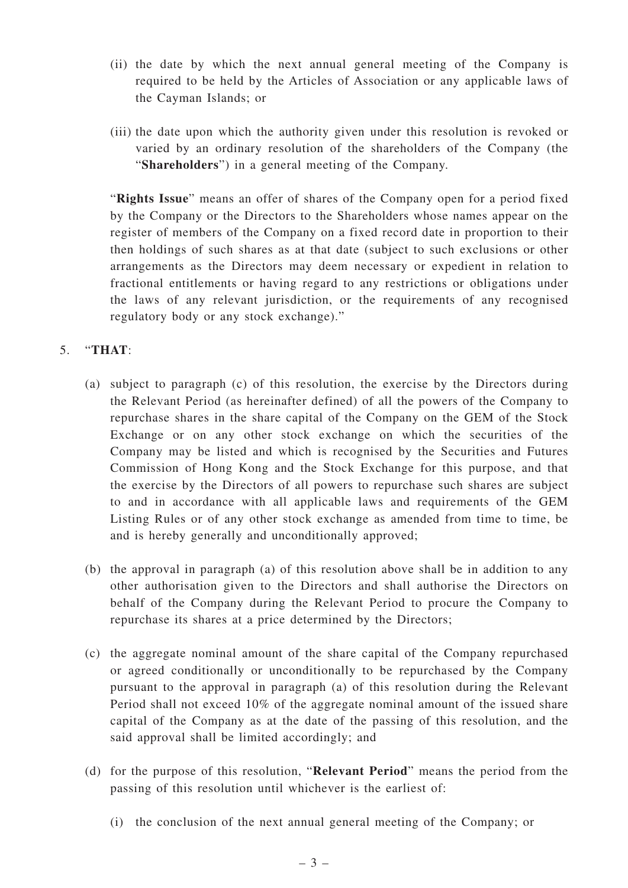- (ii) the date by which the next annual general meeting of the Company is required to be held by the Articles of Association or any applicable laws of the Cayman Islands; or
- (iii) the date upon which the authority given under this resolution is revoked or varied by an ordinary resolution of the shareholders of the Company (the "**Shareholders**") in a general meeting of the Company.

"**Rights Issue**" means an offer of shares of the Company open for a period fixed by the Company or the Directors to the Shareholders whose names appear on the register of members of the Company on a fixed record date in proportion to their then holdings of such shares as at that date (subject to such exclusions or other arrangements as the Directors may deem necessary or expedient in relation to fractional entitlements or having regard to any restrictions or obligations under the laws of any relevant jurisdiction, or the requirements of any recognised regulatory body or any stock exchange)."

## 5. "**THAT**:

- (a) subject to paragraph (c) of this resolution, the exercise by the Directors during the Relevant Period (as hereinafter defined) of all the powers of the Company to repurchase shares in the share capital of the Company on the GEM of the Stock Exchange or on any other stock exchange on which the securities of the Company may be listed and which is recognised by the Securities and Futures Commission of Hong Kong and the Stock Exchange for this purpose, and that the exercise by the Directors of all powers to repurchase such shares are subject to and in accordance with all applicable laws and requirements of the GEM Listing Rules or of any other stock exchange as amended from time to time, be and is hereby generally and unconditionally approved;
- (b) the approval in paragraph (a) of this resolution above shall be in addition to any other authorisation given to the Directors and shall authorise the Directors on behalf of the Company during the Relevant Period to procure the Company to repurchase its shares at a price determined by the Directors;
- (c) the aggregate nominal amount of the share capital of the Company repurchased or agreed conditionally or unconditionally to be repurchased by the Company pursuant to the approval in paragraph (a) of this resolution during the Relevant Period shall not exceed 10% of the aggregate nominal amount of the issued share capital of the Company as at the date of the passing of this resolution, and the said approval shall be limited accordingly; and
- (d) for the purpose of this resolution, "**Relevant Period**" means the period from the passing of this resolution until whichever is the earliest of:
	- (i) the conclusion of the next annual general meeting of the Company; or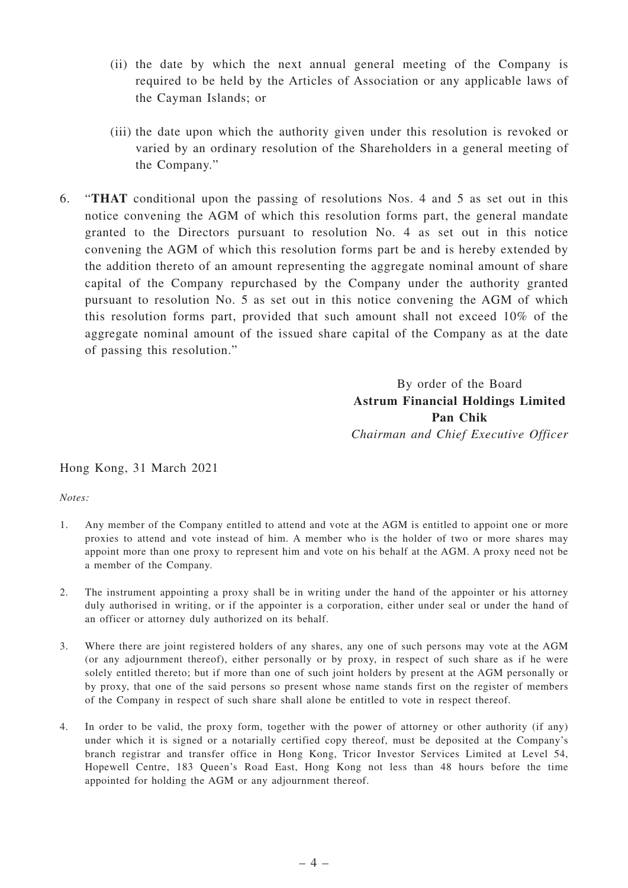- (ii) the date by which the next annual general meeting of the Company is required to be held by the Articles of Association or any applicable laws of the Cayman Islands; or
- (iii) the date upon which the authority given under this resolution is revoked or varied by an ordinary resolution of the Shareholders in a general meeting of the Company."
- 6. "**THAT** conditional upon the passing of resolutions Nos. 4 and 5 as set out in this notice convening the AGM of which this resolution forms part, the general mandate granted to the Directors pursuant to resolution No. 4 as set out in this notice convening the AGM of which this resolution forms part be and is hereby extended by the addition thereto of an amount representing the aggregate nominal amount of share capital of the Company repurchased by the Company under the authority granted pursuant to resolution No. 5 as set out in this notice convening the AGM of which this resolution forms part, provided that such amount shall not exceed 10% of the aggregate nominal amount of the issued share capital of the Company as at the date of passing this resolution."

By order of the Board **Astrum Financial Holdings Limited Pan Chik** *Chairman and Chief Executive Officer*

Hong Kong, 31 March 2021

*Notes:*

- 1. Any member of the Company entitled to attend and vote at the AGM is entitled to appoint one or more proxies to attend and vote instead of him. A member who is the holder of two or more shares may appoint more than one proxy to represent him and vote on his behalf at the AGM. A proxy need not be a member of the Company.
- 2. The instrument appointing a proxy shall be in writing under the hand of the appointer or his attorney duly authorised in writing, or if the appointer is a corporation, either under seal or under the hand of an officer or attorney duly authorized on its behalf.
- 3. Where there are joint registered holders of any shares, any one of such persons may vote at the AGM (or any adjournment thereof), either personally or by proxy, in respect of such share as if he were solely entitled thereto; but if more than one of such joint holders by present at the AGM personally or by proxy, that one of the said persons so present whose name stands first on the register of members of the Company in respect of such share shall alone be entitled to vote in respect thereof.
- 4. In order to be valid, the proxy form, together with the power of attorney or other authority (if any) under which it is signed or a notarially certified copy thereof, must be deposited at the Company's branch registrar and transfer office in Hong Kong, Tricor Investor Services Limited at Level 54, Hopewell Centre, 183 Queen's Road East, Hong Kong not less than 48 hours before the time appointed for holding the AGM or any adjournment thereof.